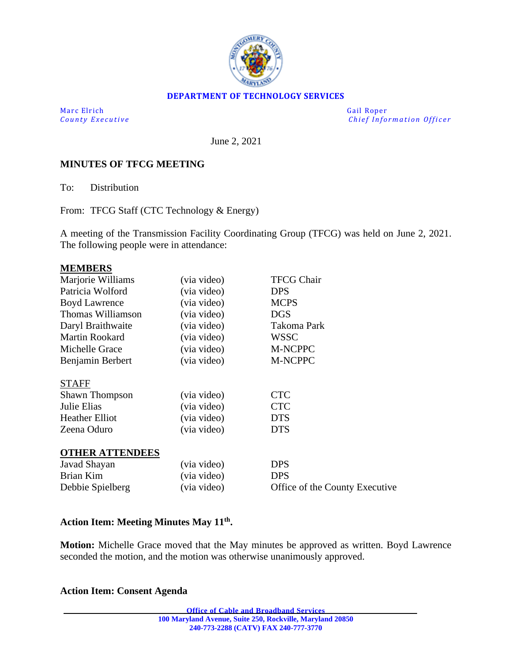

### **DEPARTMENT OF TECHNOLOGY SERVICES**

Marc Elrich Gail Roper

*County Executive* **Executive** *County Executive Chief Information Officer* 

June 2, 2021

### **MINUTES OF TFCG MEETING**

To: Distribution

From: TFCG Staff (CTC Technology & Energy)

A meeting of the Transmission Facility Coordinating Group (TFCG) was held on June 2, 2021. The following people were in attendance:

#### **MEMBERS**

| Marjorie Williams      | (via video) | <b>TFCG Chair</b>              |
|------------------------|-------------|--------------------------------|
| Patricia Wolford       | (via video) | <b>DPS</b>                     |
|                        |             |                                |
| <b>Boyd Lawrence</b>   | (via video) | <b>MCPS</b>                    |
| Thomas Williamson      | (via video) | <b>DGS</b>                     |
| Daryl Braithwaite      | (via video) | Takoma Park                    |
| Martin Rookard         | (via video) | <b>WSSC</b>                    |
| Michelle Grace         | (via video) | M-NCPPC                        |
| Benjamin Berbert       | (via video) | M-NCPPC                        |
| <b>STAFF</b>           |             |                                |
| <b>Shawn Thompson</b>  | (via video) | <b>CTC</b>                     |
| Julie Elias            | (via video) | <b>CTC</b>                     |
| <b>Heather Elliot</b>  | (via video) | <b>DTS</b>                     |
| Zeena Oduro            | (via video) | <b>DTS</b>                     |
| <b>OTHER ATTENDEES</b> |             |                                |
| Javad Shayan           | (via video) | <b>DPS</b>                     |
| Brian Kim              | (via video) | <b>DPS</b>                     |
| Debbie Spielberg       | (via video) | Office of the County Executive |
|                        |             |                                |

#### **Action Item: Meeting Minutes May 11th .**

**Motion:** Michelle Grace moved that the May minutes be approved as written. Boyd Lawrence seconded the motion, and the motion was otherwise unanimously approved.

#### **Action Item: Consent Agenda**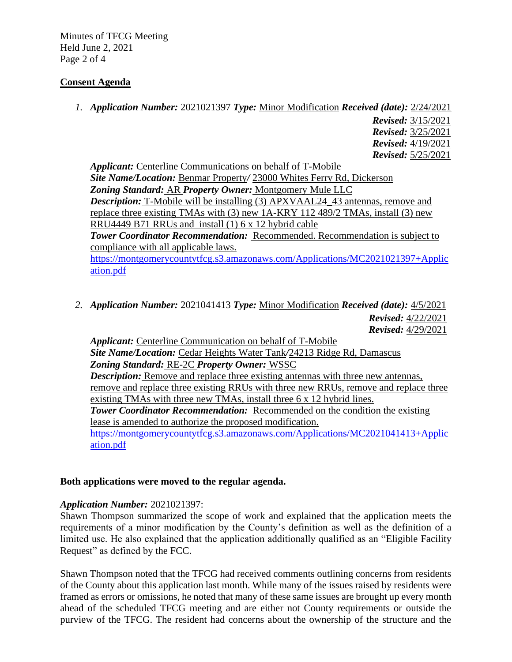Minutes of TFCG Meeting Held June 2, 2021 Page 2 of 4

## **Consent Agenda**

*1. Application Number:* 2021021397 *Type:* Minor Modification *Received (date):* 2/24/2021

*Revised:* 3/15/2021 *Revised:* 3/25/2021 *Revised:* 4/19/2021 *Revised:* 5/25/2021

*Applicant:* Centerline Communications on behalf of T-Mobile *Site Name/Location:* Benmar Property*/* 23000 Whites Ferry Rd, Dickerson *Zoning Standard:* AR *Property Owner:* Montgomery Mule LLC *Description:* T-Mobile will be installing (3) APXVAAL24\_43 antennas, remove and replace three existing TMAs with (3) new 1A-KRY 112 489/2 TMAs, install (3) new RRU4449 B71 RRUs and install (1) 6 x 12 hybrid cable *Tower Coordinator Recommendation:* Recommended. Recommendation is subject to compliance with all applicable laws.

[https://montgomerycountytfcg.s3.amazonaws.com/Applications/MC2021021397+Applic](https://montgomerycountytfcg.s3.amazonaws.com/Applications/MC2021021397+Application.pdf) [ation.pdf](https://montgomerycountytfcg.s3.amazonaws.com/Applications/MC2021021397+Application.pdf)

*2. Application Number:* 2021041413 *Type:* Minor Modification *Received (date):* 4/5/2021 *Revised:* 4/22/2021 *Revised:* 4/29/2021

*Applicant:* Centerline Communication on behalf of T-Mobile *Site Name/Location:* Cedar Heights Water Tank*/*24213 Ridge Rd, Damascus *Zoning Standard:* RE-2C *Property Owner:* WSSC *Description:* Remove and replace three existing antennas with three new antennas, remove and replace three existing RRUs with three new RRUs, remove and replace three existing TMAs with three new TMAs, install three 6 x 12 hybrid lines. **Tower Coordinator Recommendation:** Recommended on the condition the existing lease is amended to authorize the proposed modification. [https://montgomerycountytfcg.s3.amazonaws.com/Applications/MC2021041413+Applic](https://montgomerycountytfcg.s3.amazonaws.com/Applications/MC2021041413+Application.pdf) [ation.pdf](https://montgomerycountytfcg.s3.amazonaws.com/Applications/MC2021041413+Application.pdf)

### **Both applications were moved to the regular agenda.**

### *Application Number:* 2021021397:

Shawn Thompson summarized the scope of work and explained that the application meets the requirements of a minor modification by the County's definition as well as the definition of a limited use. He also explained that the application additionally qualified as an "Eligible Facility Request" as defined by the FCC.

Shawn Thompson noted that the TFCG had received comments outlining concerns from residents of the County about this application last month. While many of the issues raised by residents were framed as errors or omissions, he noted that many of these same issues are brought up every month ahead of the scheduled TFCG meeting and are either not County requirements or outside the purview of the TFCG. The resident had concerns about the ownership of the structure and the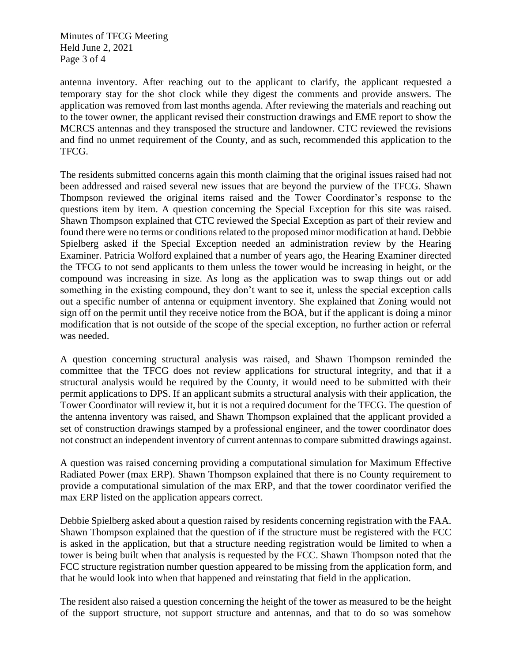Minutes of TFCG Meeting Held June 2, 2021 Page 3 of 4

antenna inventory. After reaching out to the applicant to clarify, the applicant requested a temporary stay for the shot clock while they digest the comments and provide answers. The application was removed from last months agenda. After reviewing the materials and reaching out to the tower owner, the applicant revised their construction drawings and EME report to show the MCRCS antennas and they transposed the structure and landowner. CTC reviewed the revisions and find no unmet requirement of the County, and as such, recommended this application to the TFCG.

The residents submitted concerns again this month claiming that the original issues raised had not been addressed and raised several new issues that are beyond the purview of the TFCG. Shawn Thompson reviewed the original items raised and the Tower Coordinator's response to the questions item by item. A question concerning the Special Exception for this site was raised. Shawn Thompson explained that CTC reviewed the Special Exception as part of their review and found there were no terms or conditions related to the proposed minor modification at hand. Debbie Spielberg asked if the Special Exception needed an administration review by the Hearing Examiner. Patricia Wolford explained that a number of years ago, the Hearing Examiner directed the TFCG to not send applicants to them unless the tower would be increasing in height, or the compound was increasing in size. As long as the application was to swap things out or add something in the existing compound, they don't want to see it, unless the special exception calls out a specific number of antenna or equipment inventory. She explained that Zoning would not sign off on the permit until they receive notice from the BOA, but if the applicant is doing a minor modification that is not outside of the scope of the special exception, no further action or referral was needed.

A question concerning structural analysis was raised, and Shawn Thompson reminded the committee that the TFCG does not review applications for structural integrity, and that if a structural analysis would be required by the County, it would need to be submitted with their permit applications to DPS. If an applicant submits a structural analysis with their application, the Tower Coordinator will review it, but it is not a required document for the TFCG. The question of the antenna inventory was raised, and Shawn Thompson explained that the applicant provided a set of construction drawings stamped by a professional engineer, and the tower coordinator does not construct an independent inventory of current antennas to compare submitted drawings against.

A question was raised concerning providing a computational simulation for Maximum Effective Radiated Power (max ERP). Shawn Thompson explained that there is no County requirement to provide a computational simulation of the max ERP, and that the tower coordinator verified the max ERP listed on the application appears correct.

Debbie Spielberg asked about a question raised by residents concerning registration with the FAA. Shawn Thompson explained that the question of if the structure must be registered with the FCC is asked in the application, but that a structure needing registration would be limited to when a tower is being built when that analysis is requested by the FCC. Shawn Thompson noted that the FCC structure registration number question appeared to be missing from the application form, and that he would look into when that happened and reinstating that field in the application.

The resident also raised a question concerning the height of the tower as measured to be the height of the support structure, not support structure and antennas, and that to do so was somehow